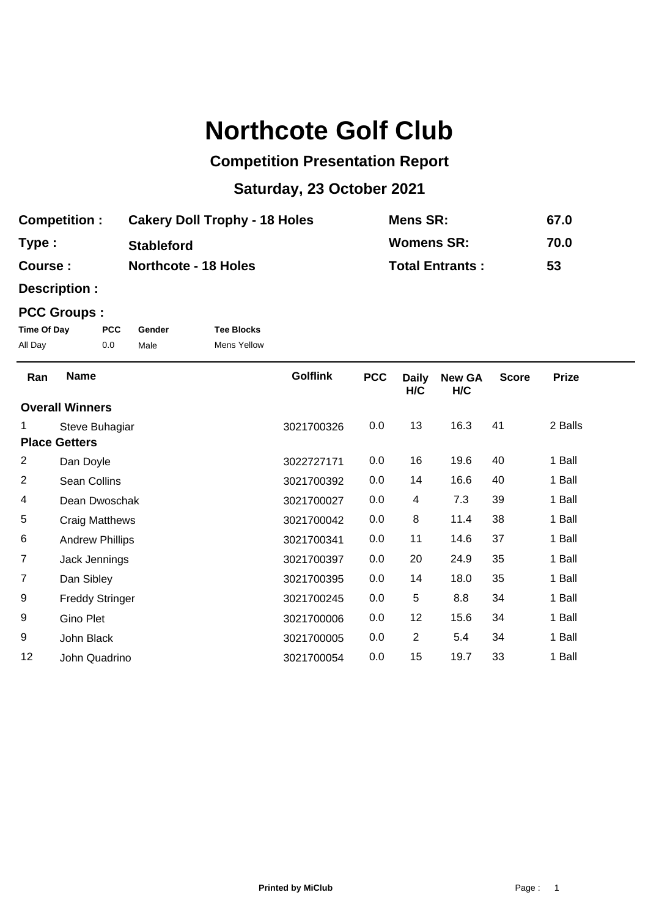## **Northcote Golf Club**

## **Competition Presentation Report**

## **Saturday, 23 October 2021**

| <b>Competition:</b> | <b>Cakery Doll Trophy - 18 Holes</b> | Mens SR:               | 67.0 |
|---------------------|--------------------------------------|------------------------|------|
| Type:               | <b>Stableford</b>                    | <b>Womens SR:</b>      | 70.0 |
| Course :            | <b>Northcote - 18 Holes</b>          | <b>Total Entrants:</b> | 53   |

**Description :**

## **PCC Groups :**

| Time Of Day | <b>PCC</b> | Gender | <b>Tee Blocks</b>  |
|-------------|------------|--------|--------------------|
| All Day     | 0.0        | Male   | <b>Mens Yellow</b> |

| Ran                    | <b>Name</b>            | <b>Golflink</b> | <b>PCC</b> | <b>Daily</b><br>H/C | <b>New GA</b><br>H/C | <b>Score</b> | <b>Prize</b> |
|------------------------|------------------------|-----------------|------------|---------------------|----------------------|--------------|--------------|
| <b>Overall Winners</b> |                        |                 |            |                     |                      |              |              |
|                        | Steve Buhagiar         | 3021700326      | 0.0        | 13                  | 16.3                 | 41           | 2 Balls      |
| <b>Place Getters</b>   |                        |                 |            |                     |                      |              |              |
| $\overline{2}$         | Dan Doyle              | 3022727171      | 0.0        | 16                  | 19.6                 | 40           | 1 Ball       |
| $\overline{c}$         | Sean Collins           | 3021700392      | 0.0        | 14                  | 16.6                 | 40           | 1 Ball       |
| 4                      | Dean Dwoschak          | 3021700027      | 0.0        | 4                   | 7.3                  | 39           | 1 Ball       |
| 5                      | Craig Matthews         | 3021700042      | 0.0        | 8                   | 11.4                 | 38           | 1 Ball       |
| 6                      | <b>Andrew Phillips</b> | 3021700341      | 0.0        | 11                  | 14.6                 | 37           | 1 Ball       |
| $\overline{7}$         | Jack Jennings          | 3021700397      | 0.0        | 20                  | 24.9                 | 35           | 1 Ball       |
| $\overline{7}$         | Dan Sibley             | 3021700395      | 0.0        | 14                  | 18.0                 | 35           | 1 Ball       |
| 9                      | <b>Freddy Stringer</b> | 3021700245      | 0.0        | 5                   | 8.8                  | 34           | 1 Ball       |
| 9                      | Gino Plet              | 3021700006      | 0.0        | 12                  | 15.6                 | 34           | 1 Ball       |
| 9                      | John Black             | 3021700005      | 0.0        | $\overline{2}$      | 5.4                  | 34           | 1 Ball       |
| 12                     | John Quadrino          | 3021700054      | 0.0        | 15                  | 19.7                 | 33           | 1 Ball       |